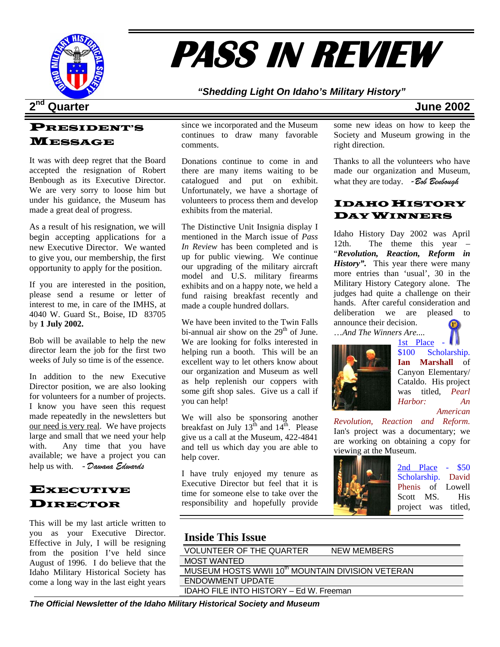

# **PASS IN REVIEW**

*"Shedding Light On Idaho's Military History"* 

### **2nd Quarter June 2002**

### PRESIDENT'S MESSAGE

It was with deep regret that the Board accepted the resignation of Robert Benbough as its Executive Director. We are very sorry to loose him but under his guidance, the Museum has made a great deal of progress.

As a result of his resignation, we will begin accepting applications for a new Executive Director. We wanted to give you, our membership, the first opportunity to apply for the position.

If you are interested in the position, please send a resume or letter of interest to me, in care of the IMHS, at 4040 W. Guard St., Boise, ID 83705 by **1 July 2002.**

Bob will be available to help the new director learn the job for the first two weeks of July so time is of the essence.

In addition to the new Executive Director position, we are also looking for volunteers for a number of projects. I know you have seen this request made repeatedly in the newsletters but our need is very real. We have projects large and small that we need your help with. Any time that you have available; we have a project you can help us with. - *Dawana Edwards*

### EXECUTIVE DIRECTOR

This will be my last article written to you as your Executive Director. Effective in July, I will be resigning from the position I've held since August of 1996. I do believe that the Idaho Military Historical Society has come a long way in the last eight years

since we incorporated and the Museum continues to draw many favorable comments.

Donations continue to come in and there are many items waiting to be catalogued and put on exhibit. Unfortunately, we have a shortage of volunteers to process them and develop exhibits from the material.

The Distinctive Unit Insignia display I mentioned in the March issue of *Pass In Review* has been completed and is up for public viewing. We continue our upgrading of the military aircraft model and U.S. military firearms exhibits and on a happy note, we held a fund raising breakfast recently and made a couple hundred dollars.

We have been invited to the Twin Falls bi-annual air show on the  $29<sup>th</sup>$  of June. We are looking for folks interested in helping run a booth. This will be an excellent way to let others know about our organization and Museum as well as help replenish our coppers with some gift shop sales. Give us a call if you can help!

We will also be sponsoring another breakfast on July  $13^{\text{th}}$  and  $14^{\text{th}}$ . Please give us a call at the Museum, 422-4841 and tell us which day you are able to help cover.

I have truly enjoyed my tenure as Executive Director but feel that it is time for someone else to take over the responsibility and hopefully provide

some new ideas on how to keep the Society and Museum growing in the right direction.

Thanks to all the volunteers who have made our organization and Museum, what they are today. *-Bob Benbough* 

### IDAHO HISTORY DAY WINNERS

Idaho History Day 2002 was April 12th. The theme this year – "*Revolution, Reaction, Reform in History".* This year there were many more entries than 'usual', 30 in the Military History Category alone. The judges had quite a challenge on their hands. After careful consideration and deliberation we are pleased to announce their decision. …*And The Winners Are....*





1st Place - \$100 Scholarship. **Ian Marshall** of Canyon Elementary/ Cataldo. His project was titled, *Pearl Harbor: An American* 

*Revolution, Reaction and Reform.* Ian's project was a documentary; we are working on obtaining a copy for viewing at the Museum.



2nd Place - \$50 Scholarship. David Phenis of Lowell Scott MS. His project was titled,

### **Inside This Issue**

| <b>VOLUNTEER OF THE QUARTER</b>                              | <b>NEW MEMBERS</b> |  |  |
|--------------------------------------------------------------|--------------------|--|--|
| <b>MOST WANTED</b>                                           |                    |  |  |
| MUSEUM HOSTS WWII 10 <sup>th</sup> MOUNTAIN DIVISION VETERAN |                    |  |  |
| ENDOWMENT UPDATE                                             |                    |  |  |
| IDAHO FILE INTO HISTORY - Ed W. Freeman                      |                    |  |  |

*The Official Newsletter of the Idaho Military Historical Society and Museum*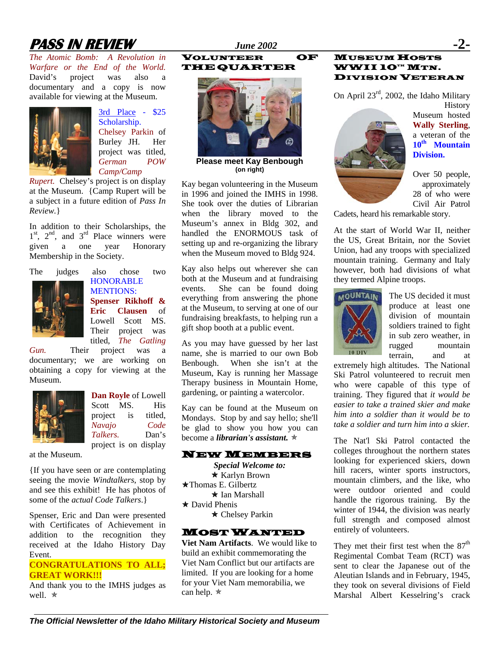# **PASS IN REVIEW** *June 2002* **-2-**

*The Atomic Bomb: A Revolution in Warfare or the End of the World.* David's project was also a documentary and a copy is now available for viewing at the Museum.



3rd Place - \$25 Scholarship. Chelsey Parkin of Burley JH. Her project was titled, *German POW Camp/Camp* 

*Rupert.* Chelsey's project is on display at the Museum. {Camp Rupert will be a subject in a future edition of *Pass In Review.*}

In addition to their Scholarships, the  $1<sup>st</sup>$ ,  $2<sup>nd</sup>$ , and  $3<sup>rd</sup>$  Place winners were given a one year Honorary Membership in the Society.





HONORABLE MENTIONS: **Spenser Rikhoff & Eric Clausen** of Lowell Scott MS. Their project was titled, *The Gatling* 

*Gun.* Their project was a documentary; we are working on obtaining a copy for viewing at the Museum.



**Dan Royle** of Lowell Scott MS. His project is titled, *Navajo Code*   $Talkers.$ project is on display

at the Museum.

{If you have seen or are contemplating seeing the movie *Windtalkers*, stop by and see this exhibit! He has photos of some of the *actual Code Talkers*.}

Spenser, Eric and Dan were presented with Certificates of Achievement in addition to the recognition they received at the Idaho History Day Event.

#### **CONGRATULATIONS TO ALL; GREAT WORK!!!**

And thank you to the IMHS judges as well.  $\star$ 

#### VOLUNTEER OF THEQUARTER



**Please meet Kay Benbough (on right)** 

Kay began volunteering in the Museum in 1996 and joined the IMHS in 1998. She took over the duties of Librarian when the library moved to the Museum's annex in Bldg 302, and handled the ENORMOUS task of setting up and re-organizing the library when the Museum moved to Bldg 924.

Kay also helps out wherever she can both at the Museum and at fundraising events. She can be found doing everything from answering the phone at the Museum, to serving at one of our fundraising breakfasts, to helping run a gift shop booth at a public event.

As you may have guessed by her last name, she is married to our own Bob Benbough. When she isn't at the Museum, Kay is running her Massage Therapy business in Mountain Home, gardening, or painting a watercolor.

Kay can be found at the Museum on Mondays. Stop by and say hello; she'll be glad to show you how you can become a *librarian's assistant*.  $\star$ 

#### NEW MEMBERS

*Special Welcome to:*   $\star$  Karlyn Brown ÕThomas E. Gilbertz  $\star$  Ian Marshall  $\star$  David Phenis  $\star$  Chelsey Parkin

#### MOST WANTED

**Viet Nam Artifacts**. We would like to build an exhibit commemorating the Viet Nam Conflict but our artifacts are limited. If you are looking for a home for your Viet Nam memorabilia, we can help.  $\star$ 

#### MUSEUM HOSTS WWII 10TH MTN. DIVISION VETERAN

On April 23rd, 2002, the Idaho Military



**History** Museum hosted **Wally Sterling**, a veteran of the  $10<sup>th</sup>$  Mountain **Division.**

Over 50 people, approximately 28 of who were Civil Air Patrol

Cadets, heard his remarkable story.

At the start of World War II, neither the US, Great Britain, nor the Soviet Union, had any troops with specialized mountain training. Germany and Italy however, both had divisions of what they termed Alpine troops.



The US decided it must produce at least one division of mountain soldiers trained to fight in sub zero weather, in rugged mountain<br>terrain. and at terrain, and at

extremely high altitudes. The National Ski Patrol volunteered to recruit men who were capable of this type of training. They figured that *it would be easier to take a trained skier and make him into a soldier than it would be to take a soldier and turn him into a skier.*

The Nat'l Ski Patrol contacted the colleges throughout the northern states looking for experienced skiers, down hill racers, winter sports instructors. mountain climbers, and the like, who were outdoor oriented and could handle the rigorous training. By the winter of 1944, the division was nearly full strength and composed almost entirely of volunteers.

They met their first test when the  $87<sup>th</sup>$ Regimental Combat Team (RCT) was sent to clear the Japanese out of the Aleutian Islands and in February, 1945, they took on several divisions of Field Marshal Albert Kesselring's crack

*The Official Newsletter of the Idaho Military Historical Society and Museum*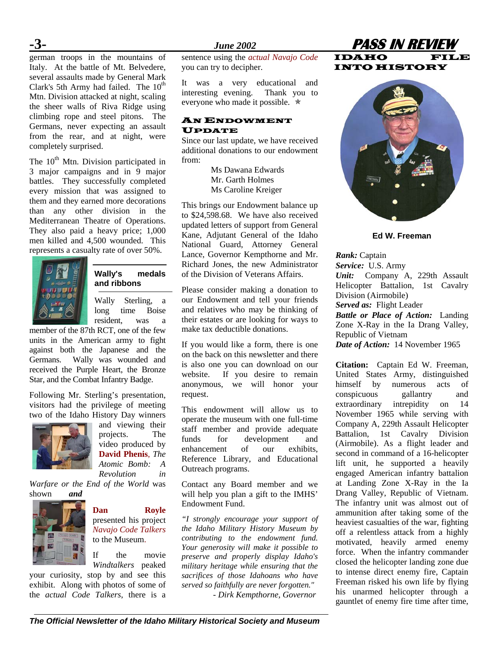german troops in the mountains of Italy. At the battle of Mt. Belvedere, several assaults made by General Mark Clark's 5th Army had failed. The  $10^{th}$ Mtn. Division attacked at night, scaling the sheer walls of Riva Ridge using climbing rope and steel pitons. The Germans, never expecting an assault from the rear, and at night, were completely surprised.

The  $10^{th}$  Mtn. Division participated in 3 major campaigns and in 9 major battles. They successfully completed every mission that was assigned to them and they earned more decorations than any other division in the Mediterranean Theatre of Operations. They also paid a heavy price; 1,000 men killed and 4,500 wounded. This represents a casualty rate of over 50%.



### **Wally's medals and ribbons**

Wally Sterling, a long time Boise resident, was a

member of the 87th RCT, one of the few units in the American army to fight against both the Japanese and the Germans. Wally was wounded and received the Purple Heart, the Bronze Star, and the Combat Infantry Badge.

Following Mr. Sterling's presentation, visitors had the privilege of meeting two of the Idaho History Day winners



and viewing their projects. The video produced by **David Phenis**, *The Atomic Bomb: A Revolution in* 

*Warfare or the End of the World* was shown *and* 



**Dan Royle**  presented his project *Navajo Code Talkers* to the Museum.

If the movie *Windtalkers* peaked

your curiosity, stop by and see this exhibit. Along with photos of some of the *actual Code Talkers*, there is a

sentence using the *actual Navajo Code* you can try to decipher.

It was a very educational and interesting evening. Thank you to everyone who made it possible.  $\star$ 

#### AN ENDOWMENT UPDATE

Since our last update, we have received additional donations to our endowment from:

> Ms Dawana Edwards Mr. Garth Holmes Ms Caroline Kreiger

This brings our Endowment balance up to \$24,598.68. We have also received updated letters of support from General Kane, Adjutant General of the Idaho National Guard, Attorney General Lance, Governor Kempthorne and Mr. Richard Jones, the new Administrator of the Division of Veterans Affairs.

Please consider making a donation to our Endowment and tell your friends and relatives who may be thinking of their estates or are looking for ways to make tax deductible donations.

If you would like a form, there is one on the back on this newsletter and there is also one you can download on our website. If you desire to remain anonymous, we will honor your request.

This endowment will allow us to operate the museum with one full-time staff member and provide adequate funds for development and enhancement of our exhibits, Reference Library, and Educational Outreach programs.

Contact any Board member and we will help you plan a gift to the IMHS' Endowment Fund.

*"I strongly encourage your support of the Idaho Military History Museum by contributing to the endowment fund. Your generosity will make it possible to preserve and properly display Idaho's military heritage while ensuring that the sacrifices of those Idahoans who have served so faithfully are never forgotten." - Dirk Kempthorne, Governor* 

### **-3-** *June 2002* **PASS IN REVIEW**  IDAHO FILE INTO HISTORY



**Ed W. Freeman** 

*Rank:* Captain *Service:* U.S. Army *Unit:* Company A, 229th Assault Helicopter Battalion, 1st Cavalry Division (Airmobile) *Served as:* Flight Leader *Battle or Place of Action:* Landing Zone X-Ray in the Ia Drang Valley, Republic of Vietnam *Date of Action:* 14 November 1965

**Citation:** Captain Ed W. Freeman, United States Army, distinguished himself by numerous acts of conspicuous gallantry and extraordinary intrepidity on 14 November 1965 while serving with Company A, 229th Assault Helicopter Battalion, 1st Cavalry Division (Airmobile). As a flight leader and second in command of a 16-helicopter lift unit, he supported a heavily engaged American infantry battalion at Landing Zone X-Ray in the Ia Drang Valley, Republic of Vietnam. The infantry unit was almost out of ammunition after taking some of the heaviest casualties of the war, fighting off a relentless attack from a highly motivated, heavily armed enemy force. When the infantry commander closed the helicopter landing zone due to intense direct enemy fire, Captain Freeman risked his own life by flying his unarmed helicopter through a gauntlet of enemy fire time after time,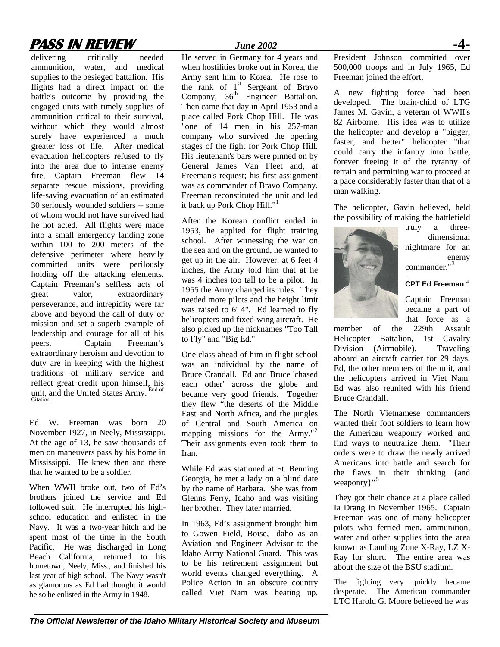# **PASS IN REVIEW** *June 2002*

delivering critically needed ammunition, water, and medical supplies to the besieged battalion. His flights had a direct impact on the battle's outcome by providing the engaged units with timely supplies of ammunition critical to their survival, without which they would almost surely have experienced a much greater loss of life. After medical evacuation helicopters refused to fly into the area due to intense enemy fire, Captain Freeman flew 14 separate rescue missions, providing life-saving evacuation of an estimated 30 seriously wounded soldiers -- some of whom would not have survived had he not acted. All flights were made into a small emergency landing zone within 100 to 200 meters of the defensive perimeter where heavily committed units were perilously holding off the attacking elements. Captain Freeman's selfless acts of great valor, extraordinary perseverance, and intrepidity were far above and beyond the call of duty or mission and set a superb example of leadership and courage for all of his peers. Captain Freeman's extraordinary heroism and devotion to duty are in keeping with the highest traditions of military service and reflect great credit upon himself, his unit, and the United States Army. End of **Citation** 

Ed W. Freeman was born 20 November 1927, in Neely, Mississippi. At the age of 13, he saw thousands of men on maneuvers pass by his home in Mississippi. He knew then and there that he wanted to be a soldier.

When WWII broke out, two of Ed's brothers joined the service and Ed followed suit. He interrupted his highschool education and enlisted in the Navy. It was a two-year hitch and he spent most of the time in the South Pacific. He was discharged in Long Beach California, returned to his hometown, Neely, Miss., and finished his last year of high school. The Navy wasn't as glamorous as Ed had thought it would be so he enlisted in the Army in 1948.

He served in Germany for 4 years and when hostilities broke out in Korea, the Army sent him to Korea. He rose to the rank of  $1<sup>st</sup>$  Sergeant of Bravo Company,  $36<sup>th</sup>$  Engineer Battalion. Then came that day in April 1953 and a place called Pork Chop Hill. He was "one of 14 men in his 257-man company who survived the opening stages of the fight for Pork Chop Hill. His lieutenant's bars were pinned on by General James Van Fleet and, at Freeman's request; his first assignment was as commander of Bravo Company. Freeman reconstituted the unit and led it back up Pork Chop Hill."<sup>[1](#page--1-0)</sup>

After the Korean conflict ended in 1953, he applied for flight training school. After witnessing the war on the sea and on the ground, he wanted to get up in the air. However, at 6 feet 4 inches, the Army told him that at he was 4 inches too tall to be a pilot. In 1955 the Army changed its rules. They needed more pilots and the height limit was raised to 6' 4". Ed learned to fly helicopters and fixed-wing aircraft. He also picked up the nicknames "Too Tall to Fly" and "Big Ed."

One class ahead of him in flight school was an individual by the name of Bruce Crandall. Ed and Bruce 'chased each other' across the globe and became very good friends. Together they flew "the deserts of the Middle East and North Africa, and the jungles of Central and South America on mapping missions for the Army."<sup>[2](#page--1-1)</sup> Their assignments even took them to Iran.

While Ed was stationed at Ft. Benning Georgia, he met a lady on a blind date by the name of Barbara. She was from Glenns Ferry, Idaho and was visiting her brother. They later married.

In 1963, Ed's assignment brought him to Gowen Field, Boise, Idaho as an Aviation and Engineer Advisor to the Idaho Army National Guard. This was to be his retirement assignment but world events changed everything. A Police Action in an obscure country called Viet Nam was heating up. President Johnson committed over 500,000 troops and in July 1965, Ed Freeman joined the effort.

A new fighting force had been developed. The brain-child of LTG James M. Gavin, a veteran of WWII's 82 Airborne. His idea was to utilize the helicopter and develop a "bigger, faster, and better" helicopter "that could carry the infantry into battle, forever freeing it of the tyranny of terrain and permitting war to proceed at a pace considerably faster than that of a man walking.

The helicopter, Gavin believed, held the possibility of making the battlefield



truly a threedimensional nightmare for an enemy commander."<sup>[3](#page--1-1)</sup>

#### **CPT Ed Freeman** [4](#page--1-1)

Captain Freeman became a part of that force as a

member of the 229th Assault Helicopter Battalion, 1st Cavalry Division (Airmobile). Traveling aboard an aircraft carrier for 29 days, Ed, the other members of the unit, and the helicopters arrived in Viet Nam. Ed was also reunited with his friend Bruce Crandall.

The North Vietnamese commanders wanted their foot soldiers to learn how the American weaponry worked and find ways to neutralize them. "Their orders were to draw the newly arrived Americans into battle and search for the flaws in their thinking {and weaponry}"<sup>[5](#page--1-1)</sup>

They got their chance at a place called Ia Drang in November 1965. Captain Freeman was one of many helicopter pilots who ferried men, ammunition, water and other supplies into the area known as Landing Zone X-Ray, LZ X-Ray for short. The entire area was about the size of the BSU stadium.

The fighting very quickly became desperate. The American commander LTC Harold G. Moore believed he was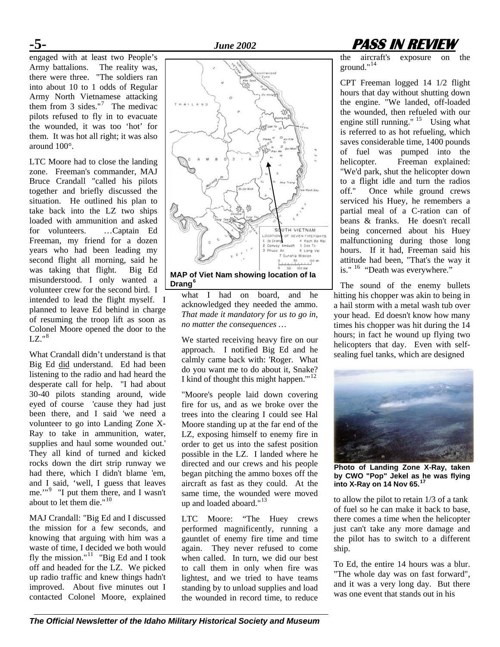engaged with at least two People's Army battalions. The reality was, there were three. "The soldiers ran into about 10 to 1 odds of Regular Army North Vietnamese attacking them from 3 sides."<sup>[7](#page--1-1)</sup> The medivac pilots refused to fly in to evacuate the wounded, it was too 'hot' for them. It was hot all right; it was also around 100°.

LTC Moore had to close the landing zone. Freeman's commander, MAJ Bruce Crandall "called his pilots together and briefly discussed the situation. He outlined his plan to take back into the LZ two ships loaded with ammunition and asked for volunteers. …Captain Ed Freeman, my friend for a dozen years who had been leading my second flight all morning, said he was taking that flight. Big Ed misunderstood. I only wanted a volunteer crew for the second bird. I intended to lead the flight myself. I planned to leave Ed behind in charge of resuming the troop lift as soon as Colonel Moore opened the door to the LZ." $8$ 

What Crandall didn't understand is that Big Ed did understand. Ed had been listening to the radio and had heard the desperate call for help. "I had about 30-40 pilots standing around, wide eyed of course 'cause they had just been there, and I said 'we need a volunteer to go into Landing Zone X-Ray to take in ammunition, water, supplies and haul some wounded out.' They all kind of turned and kicked rocks down the dirt strip runway we had there, which I didn't blame 'em, and I said, 'well, I guess that leaves me.'"[9](#page--1-1) "I put them there, and I wasn't about to let them die."<sup>[10](#page--1-1)</sup>

MAJ Crandall: "Big Ed and I discussed the mission for a few seconds, and knowing that arguing with him was a waste of time, I decided we both would fly the mission." $11$  "Big Ed and I took off and headed for the LZ. We picked up radio traffic and knew things hadn't improved. About five minutes out I contacted Colonel Moore, explained



what I had on board, and he acknowledged they needed the ammo. *That made it mandatory for us to go in, no matter the consequences …*

We started receiving heavy fire on our approach. I notified Big Ed and he calmly came back with: 'Roger. What do you want me to do about it, Snake? I kind of thought this might happen. $12$ 

"Moore's people laid down covering fire for us, and as we broke over the trees into the clearing I could see Hal Moore standing up at the far end of the LZ, exposing himself to enemy fire in order to get us into the safest position possible in the LZ. I landed where he directed and our crews and his people began pitching the ammo boxes off the aircraft as fast as they could. At the same time, the wounded were moved up and loaded aboard."<sup>[13](#page--1-1)</sup>

LTC Moore: "The Huey crews performed magnificently, running a gauntlet of enemy fire time and time again. They never refused to come when called. In turn, we did our best to call them in only when fire was lightest, and we tried to have teams standing by to unload supplies and load the wounded in record time, to reduce

**-5-** *<i>June 2002* **<b>PASS IN REVIE** 

the aircraft's exposure on the ground."[14](#page--1-1)

CPT Freeman logged 14 1/2 flight hours that day without shutting down the engine. "We landed, off-loaded the wounded, then refueled with our engine still running." <sup>[15](#page--1-1)</sup> Using what is referred to as hot refueling, which saves considerable time, 1400 pounds of fuel was pumped into the helicopter. Freeman explained: "We'd park, shut the helicopter down to a flight idle and turn the radios off." Once while ground crews serviced his Huey, he remembers a partial meal of a C-ration can of beans & franks. He doesn't recall being concerned about his Huey malfunctioning during those long hours. If it had, Freeman said his attitude had been, "That's the way it is." <sup>[16](#page--1-1)</sup> "Death was everywhere."

The sound of the enemy bullets hitting his chopper was akin to being in a hail storm with a metal wash tub over your head. Ed doesn't know how many times his chopper was hit during the 14 hours; in fact he wound up flying two helicopters that day. Even with selfsealing fuel tanks, which are designed



**Photo of Landing Zone X-Ray, taken by CWO "Pop" Jekel as he was flying into X-Ray on 14 Nov 65.[17](#page--1-1)**

to allow the pilot to retain 1/3 of a tank of fuel so he can make it back to base, there comes a time when the helicopter just can't take any more damage and the pilot has to switch to a different ship.

To Ed, the entire 14 hours was a blur. "The whole day was on fast forward", and it was a very long day. But there was one event that stands out in his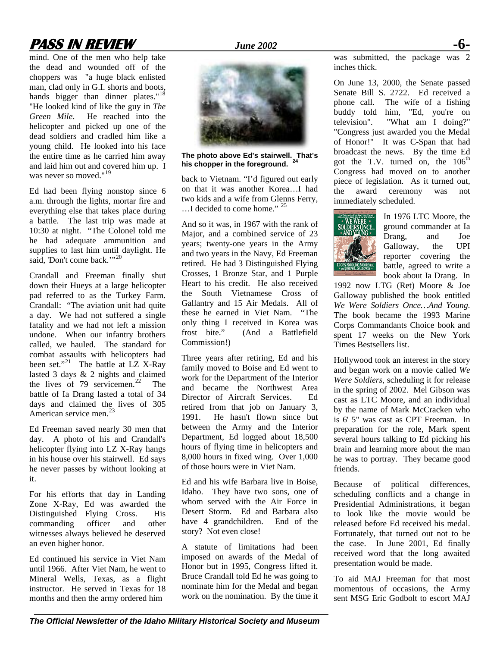# **PASS IN REVIEW** *June 2002* **-6-**

mind. One of the men who help take the dead and wounded off of the choppers was "a huge black enlisted man, clad only in G.I. shorts and boots, hands bigger than dinner plates."<sup>[18](#page--1-1)</sup> "He looked kind of like the guy in *The Green Mile*. He reached into the helicopter and picked up one of the dead soldiers and cradled him like a young child. He looked into his face the entire time as he carried him away and laid him out and covered him up. I was never so moved." $19$ 

Ed had been flying nonstop since 6 a.m. through the lights, mortar fire and everything else that takes place during a battle. The last trip was made at 10:30 at night. "The Colonel told me he had adequate ammunition and supplies to last him until daylight. He said. 'Don't come back.'"<sup>[20](#page--1-1)</sup>

Crandall and Freeman finally shut down their Hueys at a large helicopter pad referred to as the Turkey Farm. Crandall: "The aviation unit had quite a day. We had not suffered a single fatality and we had not left a mission undone. When our infantry brothers called, we hauled. The standard for combat assaults with helicopters had been set."<sup>[21](#page--1-1)</sup> The battle at  $\overline{LZ}$  X-Ray lasted 3 days & 2 nights and claimed the lives of 79 servicemen.<sup>[22](#page--1-1)</sup> The battle of Ia Drang lasted a total of 34 days and claimed the lives of 305 American service men.<sup>[23](#page--1-1)</sup>

Ed Freeman saved nearly 30 men that day. A photo of his and Crandall's helicopter flying into LZ X-Ray hangs in his house over his stairwell. Ed says he never passes by without looking at it.

For his efforts that day in Landing Zone X-Ray, Ed was awarded the Distinguished Flying Cross. His commanding officer and other witnesses always believed he deserved an even higher honor.

Ed continued his service in Viet Nam until 1966. After Viet Nam, he went to Mineral Wells, Texas, as a flight instructor. He served in Texas for 18 months and then the army ordered him



**The photo above Ed's stairwell. That's his chopper in the foreground. [24](#page--1-1)**

back to Vietnam. "I'd figured out early on that it was another Korea…I had two kids and a wife from Glenns Ferry,  $\ldots$ I decided to come home." <sup>[25](#page--1-1)</sup>

And so it was, in 1967 with the rank of Major, and a combined service of 23 years; twenty-one years in the Army and two years in the Navy, Ed Freeman retired. He had 3 Distinguished Flying Crosses, 1 Bronze Star, and 1 Purple Heart to his credit. He also received the South Vietnamese Cross of Gallantry and 15 Air Medals. All of these he earned in Viet Nam. "The only thing I received in Korea was<br>frost bite." (And a Battlefield (And a Battlefield Commission!)

Three years after retiring, Ed and his family moved to Boise and Ed went to work for the Department of the Interior and became the Northwest Area Director of Aircraft Services. Ed retired from that job on January 3. 1991. He hasn't flown since but between the Army and the Interior Department, Ed logged about 18,500 hours of flying time in helicopters and 8,000 hours in fixed wing. Over 1,000 of those hours were in Viet Nam.

Ed and his wife Barbara live in Boise, Idaho. They have two sons, one of whom served with the Air Force in Desert Storm. Ed and Barbara also have 4 grandchildren. End of the story? Not even close!

A statute of limitations had been imposed on awards of the Medal of Honor but in 1995, Congress lifted it. Bruce Crandall told Ed he was going to nominate him for the Medal and began work on the nomination. By the time it was submitted, the package was inches thick.

On June 13, 2000, the Senate passed Senate Bill S. 2722. Ed received a phone call. The wife of a fishing buddy told him, "Ed, you're on television". "What am I doing?" "Congress just awarded you the Medal of Honor!" It was C-Span that had broadcast the news. By the time Ed got the T.V. turned on, the  $106<sup>th</sup>$ Congress had moved on to another piece of legislation. As it turned out, the award ceremony was not immediately scheduled.



In 1976 LTC Moore, the ground commander at Ia Drang, and Joe Galloway, the UPI reporter covering the battle, agreed to write a book about Ia Drang. In

1992 now LTG (Ret) Moore & Joe Galloway published the book entitled *We Were Soldiers Once…And Young.* The book became the 1993 Marine Corps Commandants Choice book and spent 17 weeks on the New York Times Bestsellers list.

Hollywood took an interest in the story and began work on a movie called *We Were Soldiers*, scheduling it for release in the spring of 2002. Mel Gibson was cast as LTC Moore, and an individual by the name of Mark McCracken who is 6' 5" was cast as CPT Freeman. In preparation for the role, Mark spent several hours talking to Ed picking his brain and learning more about the man he was to portray. They became good friends.

Because of political differences, scheduling conflicts and a change in Presidential Administrations, it began to look like the movie would be released before Ed received his medal. Fortunately, that turned out not to be the case. In June 2001, Ed finally received word that the long awaited presentation would be made.

To aid MAJ Freeman for that most momentous of occasions, the Army sent MSG Eric Godbolt to escort MAJ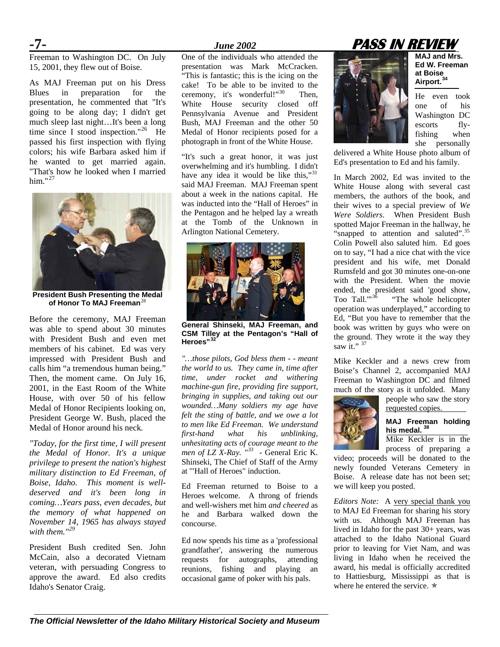### Freeman to Washington DC. On July 15, 2001, they flew out of Boise.

As MAJ Freeman put on his Dress Blues in preparation for the presentation, he commented that "It's going to be along day; I didn't get much sleep last night…It's been a long time since I stood inspection."<sup>[26](#page--1-1)</sup> He passed his first inspection with flying colors; his wife Barbara asked him if he wanted to get married again. "That's how he looked when I married him." $^{27}$  $^{27}$  $^{27}$ 



**President Bush Presenting the Medal of Honor To MAJ Freeman**[28](#page--1-1)

Before the ceremony, MAJ Freeman was able to spend about 30 minutes with President Bush and even met members of his cabinet. Ed was very impressed with President Bush and calls him "a tremendous human being." Then, the moment came. On July 16, 2001, in the East Room of the White House, with over 50 of his fellow Medal of Honor Recipients looking on, President George W. Bush, placed the Medal of Honor around his neck*.* 

*"Today, for the first time, I will present the Medal of Honor. It's a unique privilege to present the nation's highest military distinction to Ed Freeman, of Boise, Idaho. This moment is welldeserved and it's been long in coming…Years pass, even decades, but the memory of what happened on November 14, 1965 has always stayed with them."[29](#page--1-1)* 

President Bush credited Sen. John McCain, also a decorated Vietnam veteran, with persuading Congress to approve the award. Ed also credits Idaho's Senator Craig.

One of the individuals who attended the presentation was Mark McCracken. "This is fantastic; this is the icing on the cake! To be able to be invited to the ceremony. it's wonderful!"<sup>30</sup> Then, ceremony, it's wonderful!" $30$ White House security closed off Pennsylvania Avenue and President Bush, MAJ Freeman and the other 50 Medal of Honor recipients posed for a photograph in front of the White House.

"It's such a great honor, it was just overwhelming and it's humbling. I didn't have any idea it would be like this,"<sup>[31](#page--1-1)</sup> said MAJ Freeman. MAJ Freeman spent about a week in the nations capital. He was inducted into the "Hall of Heroes" in the Pentagon and he helped lay a wreath at the Tomb of the Unknown in Arlington National Cemetery.



**General Shinseki, MAJ Freeman, and CSM Tilley at the Pentagon's "Hall of Heroes"[32](#page--1-1)**

*"…those pilots, God bless them - - meant the world to us. They came in, time after time, under rocket and withering machine-gun fire, providing fire support, bringing in supplies, and taking out our wounded…Many soldiers my age have felt the sting of battle, and we owe a lot to men like Ed Freeman. We understand first-hand what his unblinking, unhesitating acts of courage meant to the men of LZ X-Ray. "[33](#page--1-1) -* General Eric K. Shinseki, The Chief of Staff of the Army at '"Hall of Heroes" induction.

Ed Freeman returned to Boise to a Heroes welcome. A throng of friends and well-wishers met him *and cheered* as he and Barbara walked down the concourse.

Ed now spends his time as a 'professional grandfather', answering the numerous requests for autographs, attending reunions, fishing and playing an occasional game of poker with his pals.

## **-7-** *June 2002* **PASS IN REVIEW**



**MAJ and Mrs. Ed W. Freeman at Boise** 

He even took one of his Washington DC escorts flyfishing when she personally

delivered a White House photo album of Ed's presentation to Ed and his family.

In March 2002, Ed was invited to the White House along with several cast members, the authors of the book, and their wives to a special preview of *We Were Soldiers*. When President Bush spotted Major Freeman in the hallway, he "snapped to attention and saluted".<sup>[35](#page--1-1)</sup> Colin Powell also saluted him. Ed goes on to say, "I had a nice chat with the vice president and his wife, met Donald Rumsfeld and got 30 minutes one-on-one with the President. When the movie ended, the president said 'good show,<br>Too Tall."<sup>36</sup> "The whole helicopter "The whole helicopter operation was underplayed," according to Ed, "But you have to remember that the book was written by guys who were on the ground. They wrote it the way they saw it."  $37$ 

Mike Keckler and a news crew from Boise's Channel 2, accompanied MAJ Freeman to Washington DC and filmed much of the story as it unfolded. Many



#### people who saw the story requested copies.

**MAJ Freeman holding his medal. [38](#page--1-1)** 

Mike Keckler is in the process of preparing a

video; proceeds will be donated to the newly founded Veterans Cemetery in Boise. A release date has not been set; we will keep you posted.

*Editors Note:* A very special thank you to MAJ Ed Freeman for sharing his story with us. Although MAJ Freeman has lived in Idaho for the past 30+ years, was attached to the Idaho National Guard prior to leaving for Viet Nam, and was living in Idaho when he received the award, his medal is officially accredited to Hattiesburg, Mississippi as that is where he entered the service.  $\star$